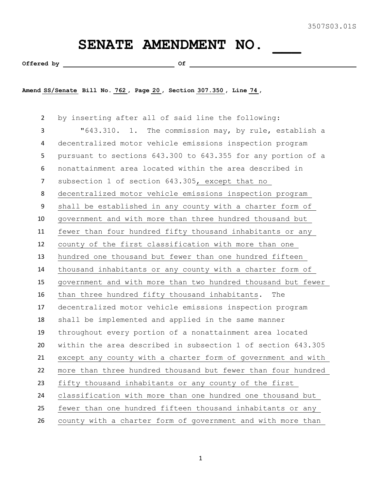## SENATE AMENDMENT NO.

Offered by  $\qquad \qquad$  Of

**Amend SS/Senate Bill No. 762 , Page 20 , Section 307.350 , Line 74 ,** 

 by inserting after all of said line the following: "643.310. 1. The commission may, by rule, establish a decentralized motor vehicle emissions inspection program pursuant to sections 643.300 to 643.355 for any portion of a nonattainment area located within the area described in subsection 1 of section 643.305, except that no decentralized motor vehicle emissions inspection program shall be established in any county with a charter form of government and with more than three hundred thousand but fewer than four hundred fifty thousand inhabitants or any county of the first classification with more than one hundred one thousand but fewer than one hundred fifteen thousand inhabitants or any county with a charter form of government and with more than two hundred thousand but fewer than three hundred fifty thousand inhabitants. The decentralized motor vehicle emissions inspection program shall be implemented and applied in the same manner throughout every portion of a nonattainment area located within the area described in subsection 1 of section 643.305 except any county with a charter form of government and with more than three hundred thousand but fewer than four hundred fifty thousand inhabitants or any county of the first classification with more than one hundred one thousand but fewer than one hundred fifteen thousand inhabitants or any county with a charter form of government and with more than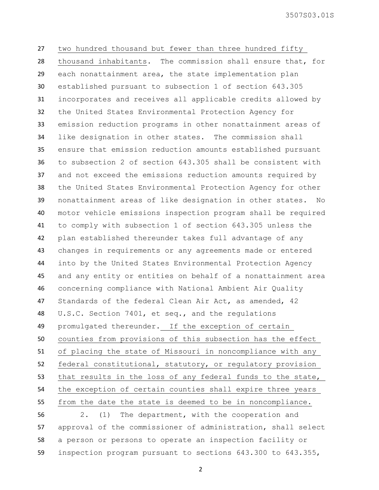3507S03.01S

 two hundred thousand but fewer than three hundred fifty thousand inhabitants. The commission shall ensure that, for each nonattainment area, the state implementation plan established pursuant to subsection 1 of section 643.305 incorporates and receives all applicable credits allowed by the United States Environmental Protection Agency for emission reduction programs in other nonattainment areas of like designation in other states. The commission shall ensure that emission reduction amounts established pursuant to subsection 2 of section 643.305 shall be consistent with and not exceed the emissions reduction amounts required by the United States Environmental Protection Agency for other nonattainment areas of like designation in other states. No motor vehicle emissions inspection program shall be required to comply with subsection 1 of section 643.305 unless the plan established thereunder takes full advantage of any changes in requirements or any agreements made or entered into by the United States Environmental Protection Agency and any entity or entities on behalf of a nonattainment area concerning compliance with National Ambient Air Quality Standards of the federal Clean Air Act, as amended, 42 U.S.C. Section 7401, et seq., and the regulations promulgated thereunder. If the exception of certain counties from provisions of this subsection has the effect of placing the state of Missouri in noncompliance with any federal constitutional, statutory, or regulatory provision that results in the loss of any federal funds to the state, the exception of certain counties shall expire three years from the date the state is deemed to be in noncompliance. 2. (1) The department, with the cooperation and

 approval of the commissioner of administration, shall select a person or persons to operate an inspection facility or inspection program pursuant to sections 643.300 to 643.355,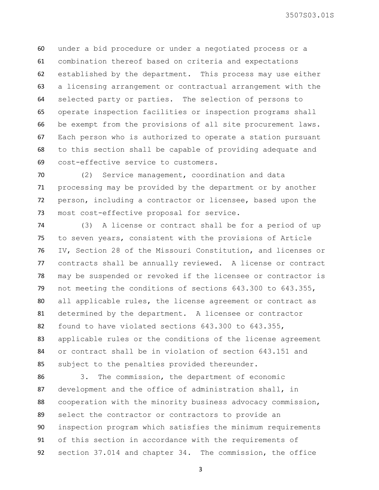3507S03.01S

 under a bid procedure or under a negotiated process or a combination thereof based on criteria and expectations established by the department. This process may use either a licensing arrangement or contractual arrangement with the selected party or parties. The selection of persons to operate inspection facilities or inspection programs shall be exempt from the provisions of all site procurement laws. Each person who is authorized to operate a station pursuant to this section shall be capable of providing adequate and cost-effective service to customers.

 (2) Service management, coordination and data processing may be provided by the department or by another person, including a contractor or licensee, based upon the most cost-effective proposal for service.

 (3) A license or contract shall be for a period of up to seven years, consistent with the provisions of Article IV, Section 28 of the Missouri Constitution, and licenses or contracts shall be annually reviewed. A license or contract may be suspended or revoked if the licensee or contractor is not meeting the conditions of sections 643.300 to 643.355, all applicable rules, the license agreement or contract as determined by the department. A licensee or contractor found to have violated sections 643.300 to 643.355, applicable rules or the conditions of the license agreement or contract shall be in violation of section 643.151 and subject to the penalties provided thereunder.

 3. The commission, the department of economic development and the office of administration shall, in cooperation with the minority business advocacy commission, select the contractor or contractors to provide an inspection program which satisfies the minimum requirements of this section in accordance with the requirements of section 37.014 and chapter 34. The commission, the office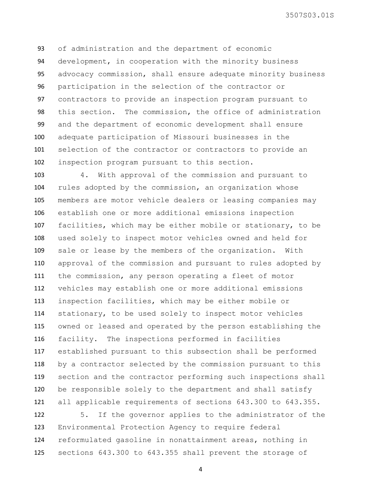3507S03.01S

 of administration and the department of economic development, in cooperation with the minority business advocacy commission, shall ensure adequate minority business participation in the selection of the contractor or contractors to provide an inspection program pursuant to this section. The commission, the office of administration and the department of economic development shall ensure adequate participation of Missouri businesses in the selection of the contractor or contractors to provide an inspection program pursuant to this section.

 4. With approval of the commission and pursuant to rules adopted by the commission, an organization whose members are motor vehicle dealers or leasing companies may establish one or more additional emissions inspection facilities, which may be either mobile or stationary, to be used solely to inspect motor vehicles owned and held for sale or lease by the members of the organization. With approval of the commission and pursuant to rules adopted by the commission, any person operating a fleet of motor vehicles may establish one or more additional emissions inspection facilities, which may be either mobile or stationary, to be used solely to inspect motor vehicles owned or leased and operated by the person establishing the facility. The inspections performed in facilities established pursuant to this subsection shall be performed by a contractor selected by the commission pursuant to this section and the contractor performing such inspections shall be responsible solely to the department and shall satisfy all applicable requirements of sections 643.300 to 643.355.

 5. If the governor applies to the administrator of the Environmental Protection Agency to require federal reformulated gasoline in nonattainment areas, nothing in sections 643.300 to 643.355 shall prevent the storage of